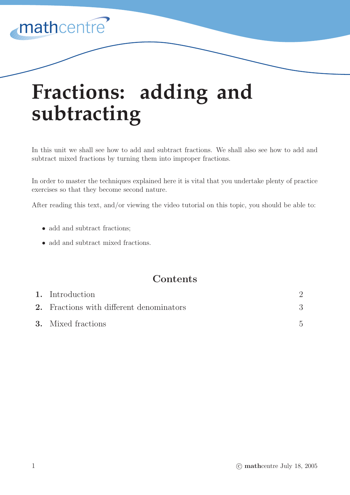

# **Fractions: adding and subtracting**

In this unit we shall see how to add and subtract fractions. We shall also see how to add and subtract mixed fractions by turning them into improper fractions.

In order to master the techniques explained here it is vital that you undertake plenty of practice exercises so that they become second nature.

After reading this text, and/or viewing the video tutorial on this topic, you should be able to:

- add and subtract fractions;
- add and subtract mixed fractions.

## Contents

| <b>1.</b> Introduction                          |  |
|-------------------------------------------------|--|
| <b>2.</b> Fractions with different denominators |  |
| <b>3.</b> Mixed fractions                       |  |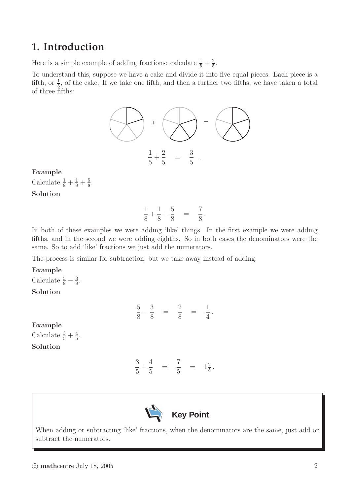# **1. Introduction**

Here is a simple example of adding fractions: calculate  $\frac{1}{5} + \frac{2}{5}$  $\frac{2}{5}$ .

To understand this, suppose we have a cake and divide it into five equal pieces. Each piece is a fifth, or  $\frac{1}{5}$ , of the cake. If we take one fifth, and then a further two fifths, we have taken a total of three fifths:



#### Example

Calculate  $\frac{1}{8} + \frac{1}{8} + \frac{5}{8}$  $\frac{5}{8}$ . Solution

$$
\frac{1}{8} + \frac{1}{8} + \frac{5}{8} = \frac{7}{8}.
$$

In both of these examples we were adding 'like' things. In the first example we were adding fifths, and in the second we were adding eighths. So in both cases the denominators were the same. So to add 'like' fractions we just add the numerators.

The process is similar for subtraction, but we take away instead of adding.

#### Example

Example

Solution

Calculate  $\frac{3}{5} + \frac{4}{5}$ 

 $\frac{4}{5}$ .

Calculate  $\frac{5}{8} - \frac{3}{8}$  $\frac{3}{8}$ . Solution

| $\frac{5}{8}$<br>$\hspace{0.1mm}$ | $\frac{3}{8}$ | = | $\frac{2}{8}$ |     | $\frac{1}{4}$ .  |
|-----------------------------------|---------------|---|---------------|-----|------------------|
| $\frac{3}{5}+\frac{4}{5}$         |               |   | $\frac{7}{5}$ | $=$ | $1\frac{2}{5}$ . |



When adding or subtracting 'like' fractions, when the denominators are the same, just add or subtract the numerators.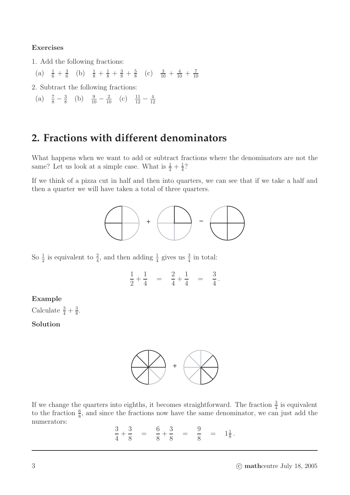#### Exercises

1. Add the following fractions:

(a)  $\frac{1}{6} + \frac{3}{6}$  $\frac{3}{6}$  (b)  $\frac{1}{8} + \frac{1}{8} + \frac{3}{8} + \frac{5}{8}$  $\frac{5}{8}$  (c)  $\frac{3}{10} + \frac{4}{10} + \frac{7}{10}$ 10

2. Subtract the following fractions:

(a) 
$$
\frac{7}{8} - \frac{3}{8}
$$
 (b)  $\frac{9}{10} - \frac{2}{10}$  (c)  $\frac{11}{12} - \frac{4}{12}$ 

## **2. Fractions with different denominators**

What happens when we want to add or subtract fractions where the denominators are not the same? Let us look at a simple case. What is  $\frac{1}{2} + \frac{1}{4}$  $\frac{1}{4}$ ?

If we think of a pizza cut in half and then into quarters, we can see that if we take a half and then a quarter we will have taken a total of three quarters.



So  $\frac{1}{2}$  is equivalent to  $\frac{2}{4}$ , and then adding  $\frac{1}{4}$  gives us  $\frac{3}{4}$  in total:

$$
\frac{1}{2} + \frac{1}{4} = \frac{2}{4} + \frac{1}{4} = \frac{3}{4}.
$$

Example

Calculate  $\frac{3}{4} + \frac{3}{8}$  $\frac{3}{8}$ .

#### Solution



If we change the quarters into eighths, it becomes straightforward. The fraction  $\frac{3}{4}$  is equivalent to the fraction  $\frac{6}{8}$ , and since the fractions now have the same denominator, we can just add the numerators:

$$
\frac{3}{4} + \frac{3}{8} = \frac{6}{8} + \frac{3}{8} = \frac{9}{8} = 1\frac{1}{8}.
$$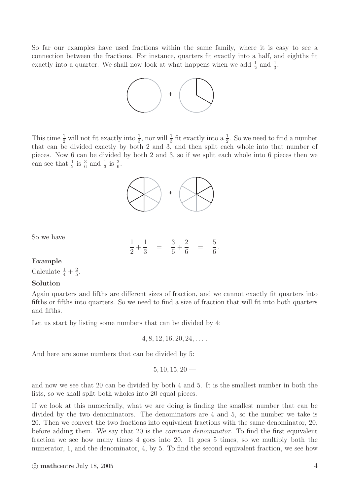So far our examples have used fractions within the same family, where it is easy to see a connection between the fractions. For instance, quarters fit exactly into a half, and eighths fit exactly into a quarter. We shall now look at what happens when we add  $\frac{1}{2}$  and  $\frac{1}{3}$ .



This time  $\frac{1}{2}$  will not fit exactly into  $\frac{1}{3}$ , nor will  $\frac{1}{3}$  fit exactly into a  $\frac{1}{2}$ . So we need to find a number that can be divided exactly by both 2 and 3, and then split each whole into that number of pieces. Now 6 can be divided by both 2 and 3, so if we split each whole into 6 pieces then we can see that  $\frac{1}{2}$  is  $\frac{3}{6}$  and  $\frac{1}{3}$  is  $\frac{2}{6}$ .



So we have

1 2  $+$ 1 3 = 3 6  $+$ 2 6 = 5  $\frac{1}{6}$ .

#### Example

Calculate  $\frac{1}{4} + \frac{2}{5}$  $\frac{2}{5}$ .

#### Solution

Again quarters and fifths are different sizes of fraction, and we cannot exactly fit quarters into fifths or fifths into quarters. So we need to find a size of fraction that will fit into both quarters and fifths.

Let us start by listing some numbers that can be divided by 4:

 $4, 8, 12, 16, 20, 24, \ldots$ 

And here are some numbers that can be divided by 5:

 $5, 10, 15, 20$  —

and now we see that 20 can be divided by both 4 and 5. It is the smallest number in both the lists, so we shall split both wholes into 20 equal pieces.

If we look at this numerically, what we are doing is finding the smallest number that can be divided by the two denominators. The denominators are 4 and 5, so the number we take is 20. Then we convert the two fractions into equivalent fractions with the same denominator, 20, before adding them. We say that 20 is the common denominator. To find the first equivalent fraction we see how many times 4 goes into 20. It goes 5 times, so we multiply both the numerator, 1, and the denominator, 4, by 5. To find the second equivalent fraction, we see how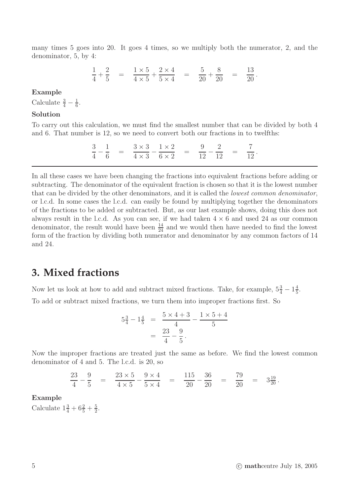many times 5 goes into 20. It goes 4 times, so we multiply both the numerator, 2, and the denominator, 5, by 4:

$$
\frac{1}{4} + \frac{2}{5} = \frac{1 \times 5}{4 \times 5} + \frac{2 \times 4}{5 \times 4} = \frac{5}{20} + \frac{8}{20} = \frac{13}{20}.
$$

Example

Calculate  $\frac{3}{4} - \frac{1}{6}$  $\frac{1}{6}$ .

#### Solution

To carry out this calculation, we must find the smallest number that can be divided by both 4 and 6. That number is 12, so we need to convert both our fractions in to twelfths:

$$
\frac{3}{4} - \frac{1}{6} = \frac{3 \times 3}{4 \times 3} - \frac{1 \times 2}{6 \times 2} = \frac{9}{12} - \frac{2}{12} = \frac{7}{12}.
$$

In all these cases we have been changing the fractions into equivalent fractions before adding or subtracting. The denominator of the equivalent fraction is chosen so that it is the lowest number that can be divided by the other denominators, and it is called the lowest common denominator, or l.c.d. In some cases the l.c.d. can easily be found by multiplying together the denominators of the fractions to be added or subtracted. But, as our last example shows, doing this does not always result in the l.c.d. As you can see, if we had taken  $4 \times 6$  and used 24 as our common denominator, the result would have been  $\frac{14}{24}$  and we would then have needed to find the lowest form of the fraction by dividing both numerator and denominator by any common factors of 14 and 24.

### **3. Mixed fractions**

Now let us look at how to add and subtract mixed fractions. Take, for example,  $5\frac{3}{4} - 1\frac{4}{5}$  $\frac{4}{5}$ . To add or subtract mixed fractions, we turn them into improper fractions first. So

$$
5\frac{3}{4} - 1\frac{4}{5} = \frac{5 \times 4 + 3}{4} - \frac{1 \times 5 + 4}{5}
$$

$$
= \frac{23}{4} - \frac{9}{5}.
$$

Now the improper fractions are treated just the same as before. We find the lowest common denominator of 4 and 5. The l.c.d. is 20, so

$$
\frac{23}{4} - \frac{9}{5} = \frac{23 \times 5}{4 \times 5} - \frac{9 \times 4}{5 \times 4} = \frac{115}{20} - \frac{36}{20} = \frac{79}{20} = 3\frac{19}{20}.
$$

#### Example

Calculate  $1\frac{3}{4} + 6\frac{2}{5} + \frac{5}{2}$  $\frac{5}{2}$ .